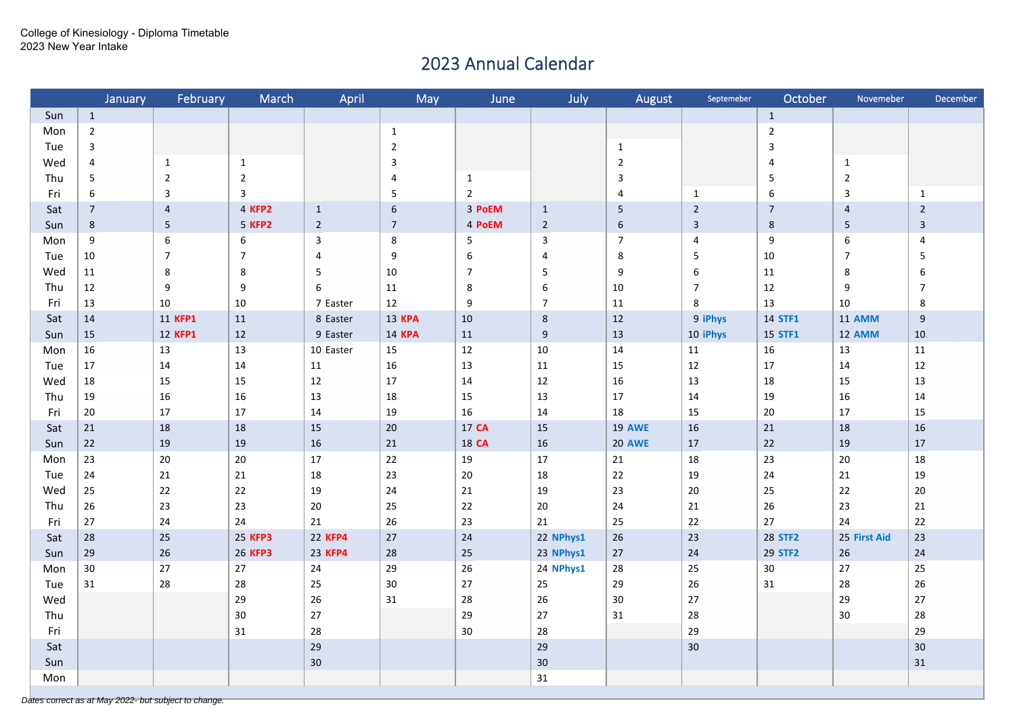## 2023 Annual Calendar

|     | January        | February       | March          | April          | May            | June           | July             | August         | Septemeber       | October                 | Novemeber      | December         |
|-----|----------------|----------------|----------------|----------------|----------------|----------------|------------------|----------------|------------------|-------------------------|----------------|------------------|
| Sun | $1\,$          |                |                |                |                |                |                  |                |                  | $\mathbf{1}$            |                |                  |
| Mon | $\overline{2}$ |                |                |                | $\mathbf{1}$   |                |                  |                |                  | $\overline{2}$          |                |                  |
| Tue | $\mathbf{3}$   |                |                |                | $\overline{2}$ |                |                  | $\mathbf{1}$   |                  | $\mathsf 3$             |                |                  |
| Wed | $\overline{4}$ | $\mathbf{1}$   | $\mathbf{1}$   |                | 3              |                |                  | $\overline{2}$ |                  | $\overline{4}$          | $\mathbf{1}$   |                  |
| Thu | 5              | $\overline{2}$ | $\overline{2}$ |                | 4              | $\mathbf{1}$   |                  | $\mathsf 3$    |                  | $\overline{\mathbf{5}}$ | $\overline{2}$ |                  |
| Fri | 6              | $\mathsf 3$    | $\overline{3}$ |                | $\overline{5}$ | $\overline{2}$ |                  | 4              | $\mathbf{1}$     | $\boldsymbol{6}$        | $\mathbf{3}$   | $\mathbf{1}$     |
| Sat | $\overline{7}$ | $\overline{4}$ | 4 KFP2         | $\mathbf{1}$   | $\sqrt{6}$     | 3 PoEM         | $\mathbf{1}$     | 5              | $\overline{2}$   | $\overline{7}$          | $\overline{4}$ | $\overline{2}$   |
| Sun | $8\phantom{1}$ | 5 <sup>5</sup> | 5 KFP2         | $\overline{2}$ | $\overline{7}$ | 4 PoEM         | $\overline{2}$   | $\sqrt{6}$     | $\mathbf{3}$     | $\bf 8$                 | $5\phantom{.}$ | $\mathbf{3}$     |
| Mon | 9              | 6              | 6              | $\overline{3}$ | 8              | 5              | $\mathbf{3}$     | $\overline{7}$ | $\overline{4}$   | 9                       | 6              | $\overline{4}$   |
| Tue | 10             | $\overline{7}$ | $\overline{7}$ | $\overline{4}$ | 9              | 6              | 4                | 8              | 5                | 10                      | $\overline{7}$ | 5                |
| Wed | 11             | 8              | 8              | 5              | 10             | $\overline{7}$ | 5                | 9              | $\boldsymbol{6}$ | $11\,$                  | $\bf 8$        | $\boldsymbol{6}$ |
| Thu | 12             | 9              | 9              | 6              | $11\,$         | $\,$ 8 $\,$    | $\boldsymbol{6}$ | $10\,$         | $\boldsymbol{7}$ | $12\,$                  | 9              | $\overline{7}$   |
| Fri | 13             | 10             | 10             | 7 Easter       | $12\,$         | 9              | $\overline{7}$   | $11\,$         | 8                | 13                      | 10             | 8                |
| Sat | 14             | 11 KFP1        | 11             | 8 Easter       | <b>13 KPA</b>  | 10             | $\,8\,$          | 12             | 9 iPhys          | 14 STF1                 | 11 AMM         | $9\,$            |
| Sun | 15             | 12 KFP1        | $12\,$         | 9 Easter       | <b>14 KPA</b>  | 11             | $\boldsymbol{9}$ | 13             | 10 iPhys         | 15 STF1                 | 12 AMM         | $10\,$           |
| Mon | 16             | 13             | 13             | 10 Easter      | 15             | 12             | 10               | $14\,$         | 11               | 16                      | 13             | 11               |
| Tue | 17             | 14             | 14             | 11             | 16             | 13             | 11               | 15             | 12               | 17                      | 14             | 12               |
| Wed | $18\,$         | 15             | 15             | 12             | $17\,$         | 14             | 12               | 16             | 13               | 18                      | 15             | 13               |
| Thu | 19             | 16             | 16             | 13             | 18             | 15             | 13               | 17             | 14               | 19                      | 16             | 14               |
| Fri | 20             | 17             | 17             | 14             | 19             | 16             | 14               | 18             | 15               | 20                      | 17             | 15               |
| Sat | 21             | 18             | 18             | 15             | 20             | 17 CA          | 15               | <b>19 AWE</b>  | 16               | 21                      | 18             | 16               |
| Sun | 22             | 19             | 19             | 16             | 21             | 18 CA          | 16               | <b>20 AWE</b>  | 17               | 22                      | 19             | $17$             |
| Mon | 23             | 20             | $20\,$         | 17             | $22\,$         | 19             | 17               | 21             | 18               | 23                      | 20             | 18               |
| Tue | 24             | 21             | 21             | 18             | 23             | 20             | 18               | 22             | 19               | 24                      | 21             | 19               |
| Wed | 25             | 22             | 22             | 19             | 24             | 21             | 19               | 23             | 20               | 25                      | 22             | 20               |
| Thu | 26             | 23             | 23             | 20             | 25             | 22             | 20               | 24             | 21               | 26                      | 23             | 21               |
| Fri | 27             | 24             | 24             | 21             | 26             | 23             | 21               | 25             | 22               | 27                      | 24             | 22               |
| Sat | 28             | 25             | 25 KFP3        | 22 KFP4        | 27             | 24             | 22 NPhys1        | 26             | 23               | 28 STF2                 | 25 First Aid   | 23               |
| Sun | 29             | 26             | 26 KFP3        | 23 KFP4        | 28             | 25             | 23 NPhys1        | 27             | 24               | 29 STF2                 | 26             | 24               |
| Mon | 30             | 27             | 27             | 24             | 29             | 26             | 24 NPhys1        | 28             | 25               | 30                      | 27             | 25               |
| Tue | 31             | 28             | 28             | 25             | 30             | 27             | 25               | 29             | 26               | 31                      | 28             | 26               |
| Wed |                |                | 29             | 26             | 31             | 28             | 26               | 30             | 27               |                         | 29             | $27$             |
| Thu |                |                | 30             | 27             |                | 29             | 27               | 31             | 28               |                         | 30             | 28               |
| Fri |                |                | 31             | 28             |                | $30\,$         | 28               |                | 29               |                         |                | 29               |
| Sat |                |                |                | 29             |                |                | 29               |                | 30               |                         |                | 30               |
| Sun |                |                |                | 30             |                |                | $30\,$           |                |                  |                         |                | 31               |
| Mon |                |                |                |                |                |                |                  |                |                  |                         |                |                  |